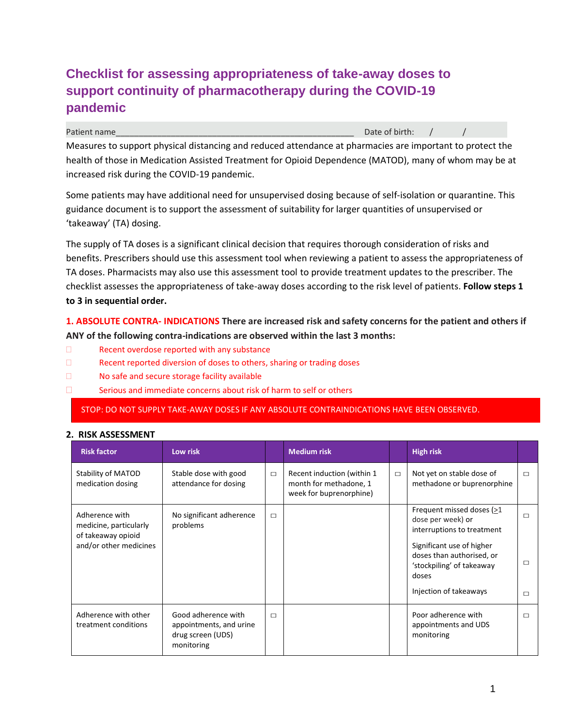## **Checklist for assessing appropriateness of take-away doses to support continuity of pharmacotherapy during the COVID-19 pandemic**

Patient name and the control of the control of the control of the control of the control of birth: /

Measures to support physical distancing and reduced attendance at pharmacies are important to protect the health of those in Medication Assisted Treatment for Opioid Dependence (MATOD), many of whom may be at increased risk during the COVID-19 pandemic.

Some patients may have additional need for unsupervised dosing because of self-isolation or quarantine. This guidance document is to support the assessment of suitability for larger quantities of unsupervised or 'takeaway' (TA) dosing.

The supply of TA doses is a significant clinical decision that requires thorough consideration of risks and benefits. Prescribers should use this assessment tool when reviewing a patient to assess the appropriateness of TA doses. Pharmacists may also use this assessment tool to provide treatment updates to the prescriber. The checklist assesses the appropriateness of take-away doses according to the risk level of patients. **Follow steps 1 to 3 in sequential order.**

**1. ABSOLUTE CONTRA- INDICATIONS There are increased risk and safety concerns for the patient and others if ANY of the following contra-indications are observed within the last 3 months:**

- E Recent overdose reported with any substance
- E Recent reported diversion of doses to others, sharing or trading doses
- □ No safe and secure storage facility available
- □ Serious and immediate concerns about risk of harm to self or others

STOP: DO NOT SUPPLY TAKE-AWAY DOSES IF ANY ABSOLUTE CONTRAINDICATIONS HAVE BEEN OBSERVED.

## **2. RISK ASSESSMENT**

| <b>Risk factor</b>                                                                       | Low risk                                                                          |        | <b>Medium risk</b>                                                              |        | <b>High risk</b>                                                                                                                                                                                       |                            |
|------------------------------------------------------------------------------------------|-----------------------------------------------------------------------------------|--------|---------------------------------------------------------------------------------|--------|--------------------------------------------------------------------------------------------------------------------------------------------------------------------------------------------------------|----------------------------|
| Stability of MATOD<br>medication dosing                                                  | Stable dose with good<br>attendance for dosing                                    | $\Box$ | Recent induction (within 1<br>month for methadone, 1<br>week for buprenorphine) | $\Box$ | Not yet on stable dose of<br>methadone or buprenorphine                                                                                                                                                | $\Box$                     |
| Adherence with<br>medicine, particularly<br>of takeaway opioid<br>and/or other medicines | No significant adherence<br>problems                                              | $\Box$ |                                                                                 |        | Frequent missed doses (>1<br>dose per week) or<br>interruptions to treatment<br>Significant use of higher<br>doses than authorised, or<br>'stockpiling' of takeaway<br>doses<br>Injection of takeaways | $\Box$<br>$\Box$<br>$\Box$ |
| Adherence with other<br>treatment conditions                                             | Good adherence with<br>appointments, and urine<br>drug screen (UDS)<br>monitoring | $\Box$ |                                                                                 |        | Poor adherence with<br>appointments and UDS<br>monitoring                                                                                                                                              | $\Box$                     |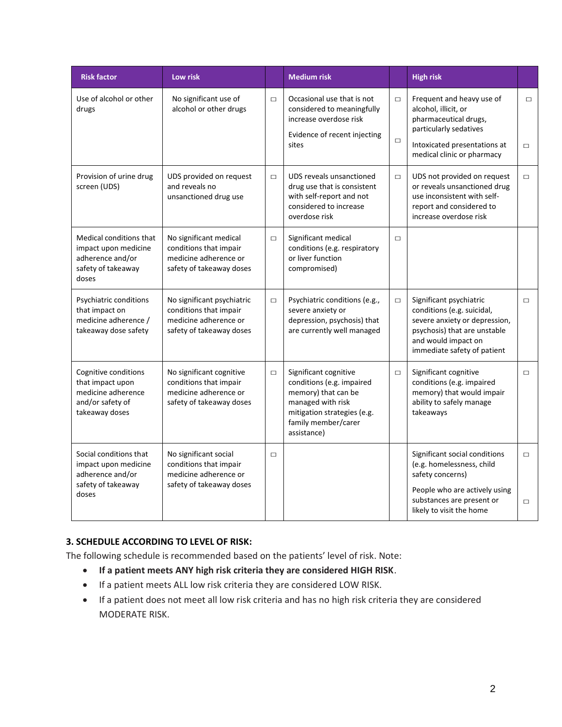| <b>Risk factor</b>                                                                                        | Low risk                                                                                                  |        | <b>Medium risk</b>                                                                                                                                                  |                  | <b>High risk</b>                                                                                                                                                             |                  |
|-----------------------------------------------------------------------------------------------------------|-----------------------------------------------------------------------------------------------------------|--------|---------------------------------------------------------------------------------------------------------------------------------------------------------------------|------------------|------------------------------------------------------------------------------------------------------------------------------------------------------------------------------|------------------|
| Use of alcohol or other<br>drugs                                                                          | No significant use of<br>alcohol or other drugs                                                           | $\Box$ | Occasional use that is not<br>considered to meaningfully<br>increase overdose risk<br>Evidence of recent injecting<br>sites                                         | $\Box$<br>$\Box$ | Frequent and heavy use of<br>alcohol, illicit, or<br>pharmaceutical drugs,<br>particularly sedatives<br>Intoxicated presentations at<br>medical clinic or pharmacy           | $\Box$<br>$\Box$ |
| Provision of urine drug<br>screen (UDS)                                                                   | UDS provided on request<br>and reveals no<br>unsanctioned drug use                                        | $\Box$ | UDS reveals unsanctioned<br>drug use that is consistent<br>with self-report and not<br>considered to increase<br>overdose risk                                      | $\Box$           | UDS not provided on request<br>or reveals unsanctioned drug<br>use inconsistent with self-<br>report and considered to<br>increase overdose risk                             |                  |
| <b>Medical conditions that</b><br>impact upon medicine<br>adherence and/or<br>safety of takeaway<br>doses | No significant medical<br>conditions that impair<br>medicine adherence or<br>safety of takeaway doses     | $\Box$ | Significant medical<br>conditions (e.g. respiratory<br>or liver function<br>compromised)                                                                            | $\Box$           |                                                                                                                                                                              |                  |
| Psychiatric conditions<br>that impact on<br>medicine adherence /<br>takeaway dose safety                  | No significant psychiatric<br>conditions that impair<br>medicine adherence or<br>safety of takeaway doses | $\Box$ | Psychiatric conditions (e.g.,<br>severe anxiety or<br>depression, psychosis) that<br>are currently well managed                                                     | $\Box$           | Significant psychiatric<br>conditions (e.g. suicidal,<br>severe anxiety or depression,<br>psychosis) that are unstable<br>and would impact on<br>immediate safety of patient | $\Box$           |
| Cognitive conditions<br>that impact upon<br>medicine adherence<br>and/or safety of<br>takeaway doses      | No significant cognitive<br>conditions that impair<br>medicine adherence or<br>safety of takeaway doses   | $\Box$ | Significant cognitive<br>conditions (e.g. impaired<br>memory) that can be<br>managed with risk<br>mitigation strategies (e.g.<br>family member/carer<br>assistance) | $\Box$           | Significant cognitive<br>conditions (e.g. impaired<br>memory) that would impair<br>ability to safely manage<br>takeaways                                                     |                  |
| Social conditions that<br>impact upon medicine<br>adherence and/or<br>safety of takeaway<br>doses         | No significant social<br>conditions that impair<br>medicine adherence or<br>safety of takeaway doses      | $\Box$ |                                                                                                                                                                     |                  | Significant social conditions<br>(e.g. homelessness, child<br>safety concerns)<br>People who are actively using<br>substances are present or                                 | $\Box$<br>$\Box$ |
|                                                                                                           |                                                                                                           |        |                                                                                                                                                                     |                  | likely to visit the home                                                                                                                                                     |                  |

## **3. SCHEDULE ACCORDING TO LEVEL OF RISK:**

The following schedule is recommended based on the patients' level of risk. Note:

- **If a patient meets ANY high risk criteria they are considered HIGH RISK**.
- If a patient meets ALL low risk criteria they are considered LOW RISK.
- If a patient does not meet all low risk criteria and has no high risk criteria they are considered MODERATE RISK.